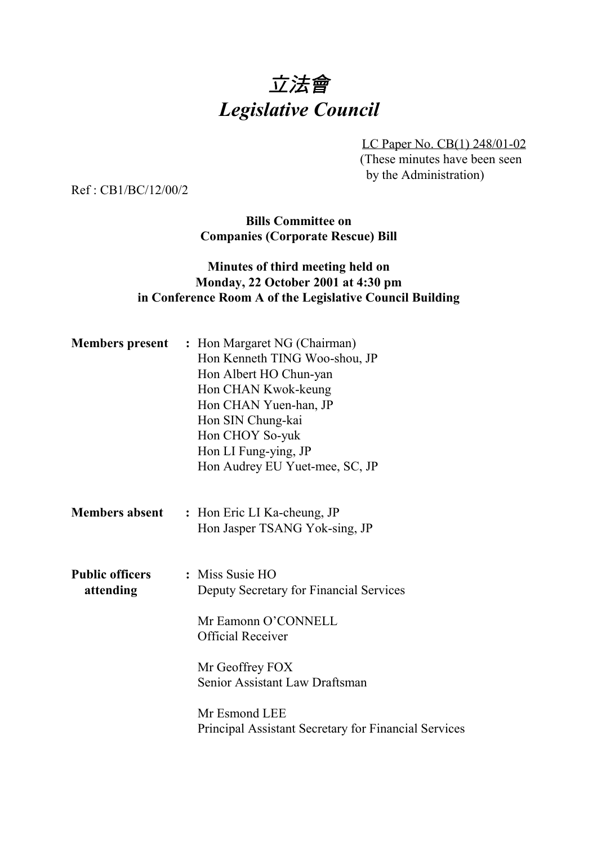# 立法會 *Legislative Council*

LC Paper No. CB(1) 248/01-02 (These minutes have been seen by the Administration)

Ref : CB1/BC/12/00/2

**Bills Committee on Companies (Corporate Rescue) Bill**

#### **Minutes of third meeting held on Monday, 22 October 2001 at 4:30 pm in Conference Room A of the Legislative Council Building**

|                                     | <b>Members present</b> : Hon Margaret NG (Chairman)<br>Hon Kenneth TING Woo-shou, JP<br>Hon Albert HO Chun-yan<br>Hon CHAN Kwok-keung<br>Hon CHAN Yuen-han, JP<br>Hon SIN Chung-kai<br>Hon CHOY So-yuk<br>Hon LI Fung-ying, JP<br>Hon Audrey EU Yuet-mee, SC, JP |
|-------------------------------------|------------------------------------------------------------------------------------------------------------------------------------------------------------------------------------------------------------------------------------------------------------------|
| <b>Members absent</b>               | : Hon Eric LI Ka-cheung, JP<br>Hon Jasper TSANG Yok-sing, JP                                                                                                                                                                                                     |
| <b>Public officers</b><br>attending | : Miss Susie HO<br>Deputy Secretary for Financial Services<br>Mr Eamonn O'CONNELL<br><b>Official Receiver</b><br>Mr Geoffrey FOX<br>Senior Assistant Law Draftsman<br>Mr Esmond LEE<br>Principal Assistant Secretary for Financial Services                      |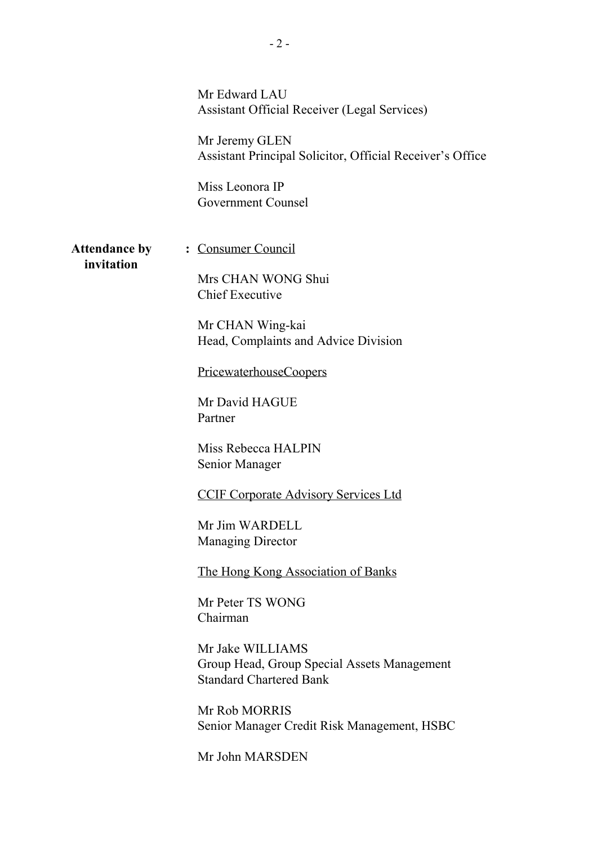|                                    | Mr Edward LAU<br><b>Assistant Official Receiver (Legal Services)</b><br>Mr Jeremy GLEN<br>Assistant Principal Solicitor, Official Receiver's Office<br>Miss Leonora IP<br>Government Counsel |
|------------------------------------|----------------------------------------------------------------------------------------------------------------------------------------------------------------------------------------------|
| <b>Attendance by</b><br>invitation | : Consumer Council<br>Mrs CHAN WONG Shui<br><b>Chief Executive</b>                                                                                                                           |
|                                    | Mr CHAN Wing-kai<br>Head, Complaints and Advice Division                                                                                                                                     |
|                                    | PricewaterhouseCoopers                                                                                                                                                                       |
|                                    | Mr David HAGUE<br>Partner                                                                                                                                                                    |
|                                    | Miss Rebecca HALPIN<br>Senior Manager                                                                                                                                                        |
|                                    | <b>CCIF Corporate Advisory Services Ltd</b>                                                                                                                                                  |
|                                    | Mr Jim WARDELL<br><b>Managing Director</b>                                                                                                                                                   |
|                                    | The Hong Kong Association of Banks                                                                                                                                                           |
|                                    | Mr Peter TS WONG<br>Chairman                                                                                                                                                                 |
|                                    | Mr Jake WILLIAMS<br>Group Head, Group Special Assets Management<br><b>Standard Chartered Bank</b>                                                                                            |
|                                    | Mr Rob MORRIS<br>Senior Manager Credit Risk Management, HSBC                                                                                                                                 |
|                                    | Mr John MARSDEN                                                                                                                                                                              |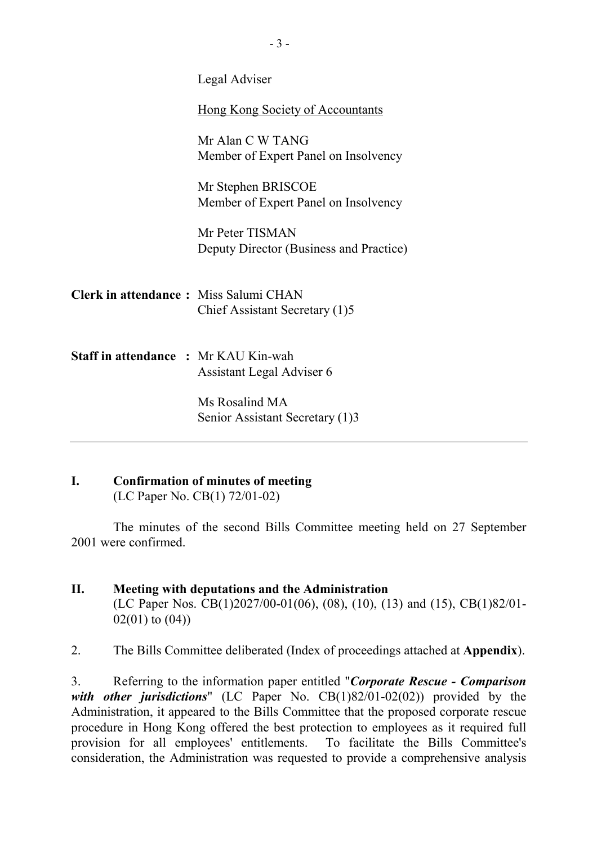|                                              | Legal Adviser                                              |
|----------------------------------------------|------------------------------------------------------------|
|                                              | <b>Hong Kong Society of Accountants</b>                    |
|                                              | Mr Alan C W TANG<br>Member of Expert Panel on Insolvency   |
|                                              | Mr Stephen BRISCOE<br>Member of Expert Panel on Insolvency |
|                                              | Mr Peter TISMAN<br>Deputy Director (Business and Practice) |
| <b>Clerk in attendance: Miss Salumi CHAN</b> | Chief Assistant Secretary (1)5                             |
| <b>Staff in attendance : Mr KAU Kin-wah</b>  | Assistant Legal Adviser 6                                  |
|                                              | Ms Rosalind MA<br>Senior Assistant Secretary (1)3          |
|                                              |                                                            |

## **I. Confirmation of minutes of meeting**

(LC Paper No. CB(1) 72/01-02)

The minutes of the second Bills Committee meeting held on 27 September 2001 were confirmed.

### **II. Meeting with deputations and the Administration** (LC Paper Nos. CB(1)2027/00-01(06), (08), (10), (13) and (15), CB(1)82/01- 02(01) to (04))

2. The Bills Committee deliberated (Index of proceedings attached at **Appendix**).

3. Referring to the information paper entitled "*Corporate Rescue - Comparison with other jurisdictions*" (LC Paper No. CB(1)82/01-02(02)) provided by the Administration, it appeared to the Bills Committee that the proposed corporate rescue procedure in Hong Kong offered the best protection to employees as it required full provision for all employees' entitlements. To facilitate the Bills Committee's consideration, the Administration was requested to provide a comprehensive analysis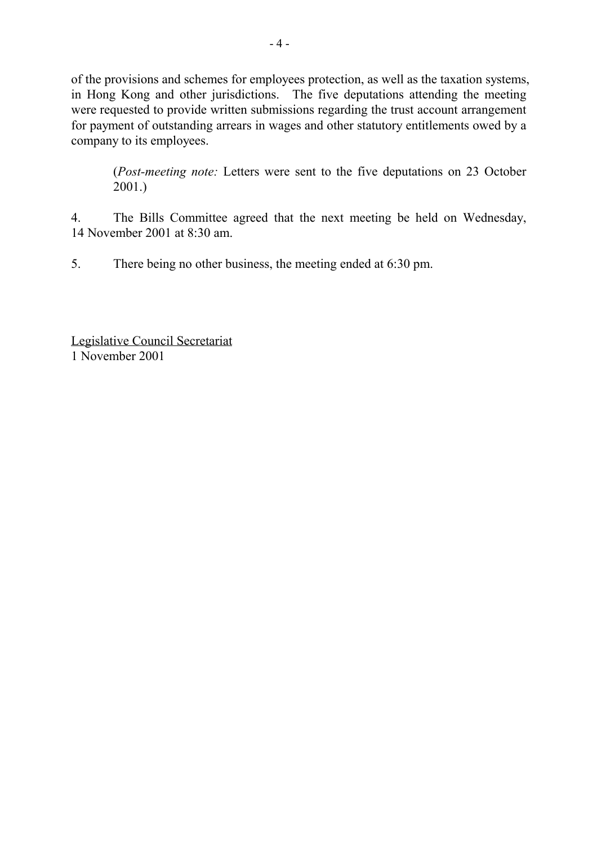of the provisions and schemes for employees protection, as well as the taxation systems, in Hong Kong and other jurisdictions. The five deputations attending the meeting were requested to provide written submissions regarding the trust account arrangement for payment of outstanding arrears in wages and other statutory entitlements owed by a company to its employees.

(*Post-meeting note:* Letters were sent to the five deputations on 23 October 2001.)

4. The Bills Committee agreed that the next meeting be held on Wednesday, 14 November 2001 at 8:30 am.

5. There being no other business, the meeting ended at 6:30 pm.

Legislative Council Secretariat 1 November 2001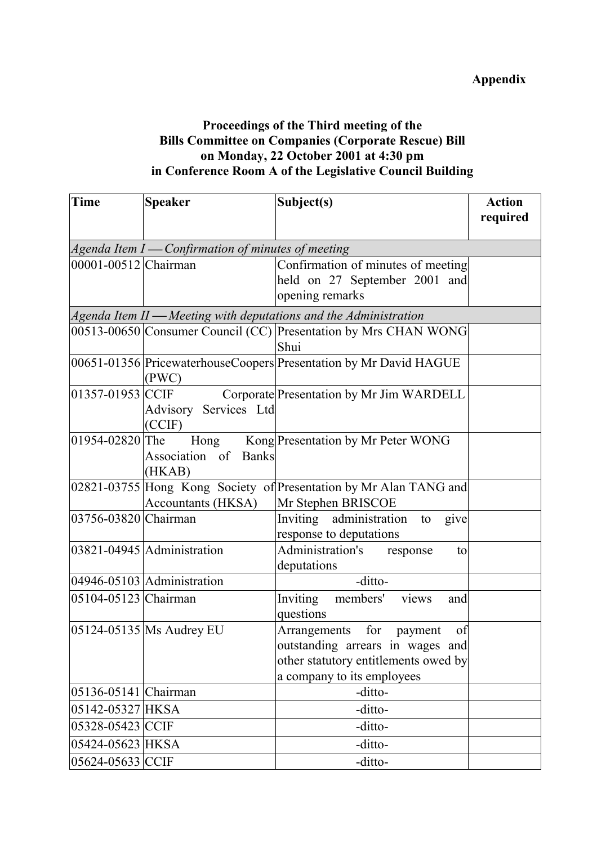### **Proceedings of the Third meeting of the Bills Committee on Companies (Corporate Rescue) Bill on Monday, 22 October 2001 at 4:30 pm in Conference Room A of the Legislative Council Building**

| <b>Time</b>          | <b>Speaker</b>                                       | Subject(s)                                                          | <b>Action</b> |  |
|----------------------|------------------------------------------------------|---------------------------------------------------------------------|---------------|--|
|                      |                                                      |                                                                     | required      |  |
|                      |                                                      |                                                                     |               |  |
|                      | Agenda Item $I$ — Confirmation of minutes of meeting |                                                                     |               |  |
| 00001-00512 Chairman |                                                      | Confirmation of minutes of meeting                                  |               |  |
|                      |                                                      | held on 27 September 2001 and                                       |               |  |
|                      |                                                      | opening remarks                                                     |               |  |
|                      |                                                      | $A$ genda Item II — Meeting with deputations and the Administration |               |  |
|                      |                                                      | 00513-00650 Consumer Council (CC) Presentation by Mrs CHAN WONG     |               |  |
|                      |                                                      | Shui                                                                |               |  |
|                      | (PWC)                                                | 00651-01356 PricewaterhouseCoopers Presentation by Mr David HAGUE   |               |  |
| 01357-01953 CCIF     |                                                      | Corporate Presentation by Mr Jim WARDELL                            |               |  |
|                      | Advisory Services Ltd                                |                                                                     |               |  |
|                      | (CCIF)                                               |                                                                     |               |  |
| 01954-02820 The      |                                                      | Hong Kong Presentation by Mr Peter WONG                             |               |  |
|                      | Association of Banks                                 |                                                                     |               |  |
|                      | (HKAB)                                               |                                                                     |               |  |
|                      |                                                      | 02821-03755 Hong Kong Society of Presentation by Mr Alan TANG and   |               |  |
|                      | <b>Accountants (HKSA)</b>                            | Mr Stephen BRISCOE                                                  |               |  |
| 03756-03820 Chairman |                                                      | Inviting administration to<br>give                                  |               |  |
|                      |                                                      | response to deputations                                             |               |  |
|                      | 03821-04945 Administration                           | Administration's response<br>to                                     |               |  |
|                      |                                                      | deputations                                                         |               |  |
|                      | $04946 - 05103$ Administration                       | -ditto-                                                             |               |  |
| 05104-05123 Chairman |                                                      | Inviting members'<br>views<br>and                                   |               |  |
|                      |                                                      | questions                                                           |               |  |
|                      | $ 05124-05135 $ Ms Audrey EU                         | Arrangements for payment<br>of                                      |               |  |
|                      |                                                      | outstanding arrears in wages and                                    |               |  |
|                      |                                                      | other statutory entitlements owed by                                |               |  |
|                      |                                                      | a company to its employees                                          |               |  |
| 05136-05141 Chairman |                                                      | -ditto-                                                             |               |  |
| 05142-05327 HKSA     |                                                      | -ditto-                                                             |               |  |
| 05328-05423 CCIF     |                                                      | -ditto-                                                             |               |  |
| 05424-05623 HKSA     |                                                      | -ditto-                                                             |               |  |
| 05624-05633 CCIF     |                                                      | -ditto-                                                             |               |  |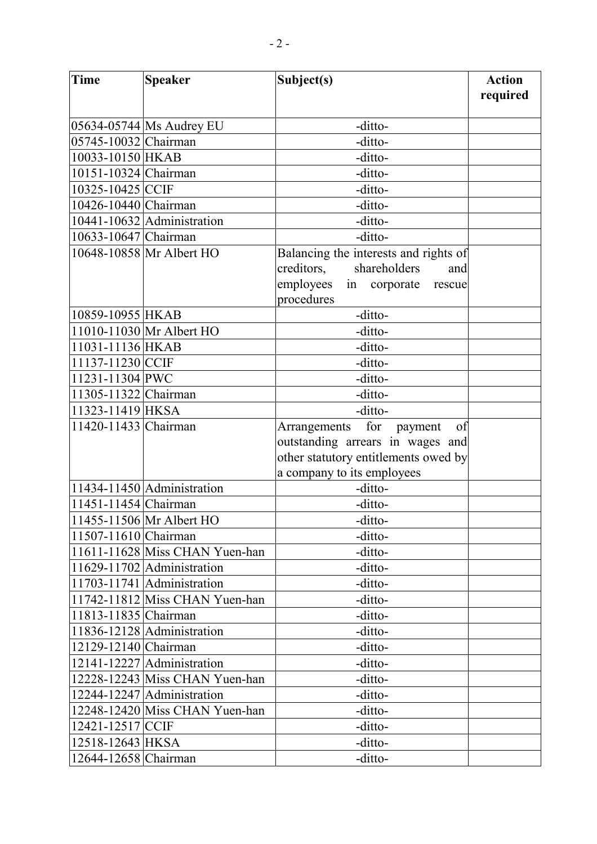| Time                 | <b>Speaker</b>                                                       | Subject(s)                                                               | <b>Action</b><br>required |
|----------------------|----------------------------------------------------------------------|--------------------------------------------------------------------------|---------------------------|
|                      | 05634-05744 Ms Audrey EU                                             | -ditto-                                                                  |                           |
| 05745-10032 Chairman |                                                                      | -ditto-                                                                  |                           |
| 10033-10150 HKAB     |                                                                      | -ditto-                                                                  |                           |
| 10151-10324 Chairman |                                                                      | -ditto-                                                                  |                           |
| 10325-10425 CCIF     |                                                                      | -ditto-                                                                  |                           |
|                      |                                                                      |                                                                          |                           |
| 10426-10440 Chairman |                                                                      | -ditto-                                                                  |                           |
|                      | 10441-10632 Administration                                           | -ditto-                                                                  |                           |
| 10633-10647 Chairman |                                                                      | -ditto-                                                                  |                           |
|                      | 10648-10858 Mr Albert HO                                             | Balancing the interests and rights of                                    |                           |
|                      |                                                                      | creditors,<br>shareholders<br>and                                        |                           |
|                      |                                                                      | employees<br>in corporate<br>rescue                                      |                           |
|                      |                                                                      | procedures                                                               |                           |
| 10859-10955 HKAB     |                                                                      | -ditto-                                                                  |                           |
|                      | 11010-11030 Mr Albert HO                                             | -ditto-                                                                  |                           |
| 11031-11136 HKAB     |                                                                      | -ditto-                                                                  |                           |
| 11137-11230 CCIF     |                                                                      | -ditto-                                                                  |                           |
| 11231-11304 PWC      |                                                                      | -ditto-                                                                  |                           |
| 11305-11322 Chairman |                                                                      | -ditto-                                                                  |                           |
| 11323-11419 HKSA     |                                                                      | -ditto-                                                                  |                           |
| 11420-11433 Chairman |                                                                      | for<br>Arrangements<br>of<br>payment<br>outstanding arrears in wages and |                           |
|                      |                                                                      | other statutory entitlements owed by                                     |                           |
|                      |                                                                      | a company to its employees                                               |                           |
|                      | $11434 - 11450$ Administration                                       | -ditto-                                                                  |                           |
| 11451-11454 Chairman |                                                                      | -ditto-                                                                  |                           |
|                      | 11455-11506 Mr Albert HO                                             | -ditto-                                                                  |                           |
|                      |                                                                      |                                                                          |                           |
| 11507-11610 Chairman |                                                                      | -ditto-                                                                  |                           |
|                      | $11611 - 11628$ Miss CHAN Yuen-han<br>$11629 - 11702$ Administration | -ditto-                                                                  |                           |
|                      |                                                                      | -ditto-                                                                  |                           |
|                      | $11703 - 11741$ Administration                                       | -ditto-                                                                  |                           |
|                      | $11742 - 11812$ Miss CHAN Yuen-han                                   | -ditto-                                                                  |                           |
| 11813-11835 Chairman |                                                                      | -ditto-                                                                  |                           |
|                      | 11836-12128 Administration                                           | -ditto-                                                                  |                           |
| 12129-12140 Chairman |                                                                      | -ditto-                                                                  |                           |
|                      | 12141-12227 Administration                                           | -ditto-                                                                  |                           |
|                      | 12228-12243 Miss CHAN Yuen-han                                       | -ditto-                                                                  |                           |
|                      | 12244-12247 Administration                                           | -ditto-                                                                  |                           |
|                      | 12248-12420 Miss CHAN Yuen-han                                       | -ditto-                                                                  |                           |
| 12421-12517 CCIF     |                                                                      | -ditto-                                                                  |                           |
| 12518-12643 HKSA     |                                                                      | -ditto-                                                                  |                           |
| 12644-12658 Chairman |                                                                      | -ditto-                                                                  |                           |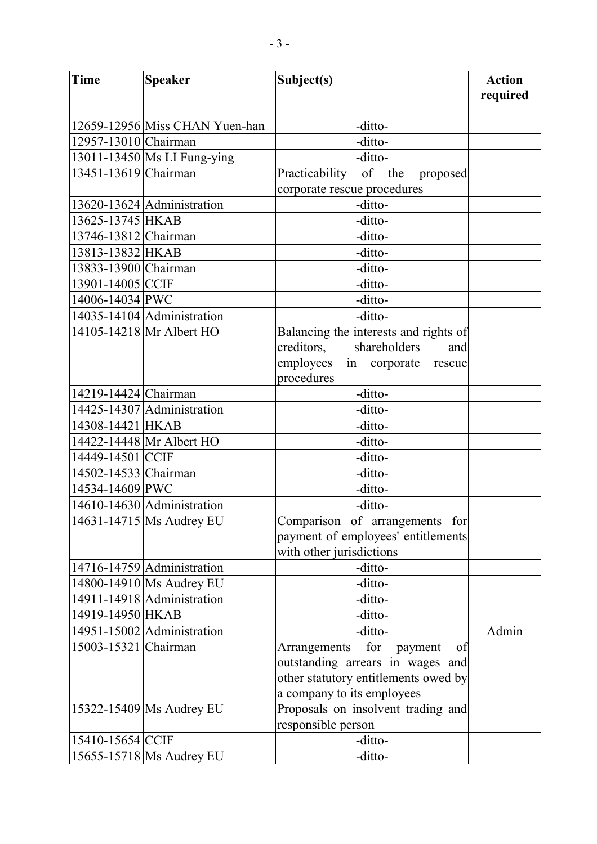| <b>Time</b>          | <b>Speaker</b>                     | Subject(s)                            | <b>Action</b><br>required |
|----------------------|------------------------------------|---------------------------------------|---------------------------|
|                      |                                    |                                       |                           |
|                      | 12659-12956 Miss CHAN Yuen-han     | -ditto-                               |                           |
| 12957-13010 Chairman |                                    | -ditto-                               |                           |
|                      | 13011-13450   Ms LI Fung-ying      | -ditto-                               |                           |
| 13451-13619 Chairman |                                    | Practicability of the<br>proposed     |                           |
|                      |                                    | corporate rescue procedures           |                           |
|                      | $13620 - 13624$ Administration     | -ditto-                               |                           |
| 13625-13745 HKAB     |                                    | -ditto-                               |                           |
| 13746-13812 Chairman |                                    | -ditto-                               |                           |
| 13813-13832 HKAB     |                                    | -ditto-                               |                           |
| 13833-13900 Chairman |                                    | -ditto-                               |                           |
| 13901-14005 CCIF     |                                    | -ditto-                               |                           |
| 14006-14034 PWC      |                                    | -ditto-                               |                           |
|                      | 14035-14104 $\vert$ Administration | -ditto-                               |                           |
|                      | 14105-14218 Mr Albert HO           | Balancing the interests and rights of |                           |
|                      |                                    | creditors,<br>shareholders<br>and     |                           |
|                      |                                    | employees<br>in corporate<br>rescue   |                           |
|                      |                                    | procedures                            |                           |
| 14219-14424 Chairman |                                    | -ditto-                               |                           |
|                      | 14425-14307 Administration         | -ditto-                               |                           |
| 14308-14421 HKAB     |                                    | -ditto-                               |                           |
|                      | 14422-14448 Mr Albert HO           | -ditto-                               |                           |
| 14449-14501 CCIF     |                                    | -ditto-                               |                           |
| 14502-14533 Chairman |                                    | -ditto-                               |                           |
| 14534-14609 PWC      |                                    | -ditto-                               |                           |
|                      | 14610-14630 Administration         | -ditto-                               |                           |
|                      | 14631-14715 Ms Audrey EU           | Comparison of arrangements for        |                           |
|                      |                                    | payment of employees' entitlements    |                           |
|                      |                                    | with other jurisdictions              |                           |
|                      | $14716 - 14759$ Administration     | -ditto-                               |                           |
|                      | 14800-14910 Ms Audrey EU           | -ditto-                               |                           |
|                      | 14911-14918 Administration         | -ditto-                               |                           |
| 14919-14950 HKAB     |                                    | -ditto-                               |                           |
|                      | 14951-15002 Administration         | -ditto-                               | Admin                     |
| 15003-15321 Chairman |                                    | for<br>Arrangements<br>of<br>payment  |                           |
|                      |                                    | outstanding arrears in wages and      |                           |
|                      |                                    | other statutory entitlements owed by  |                           |
|                      |                                    | a company to its employees            |                           |
|                      | 15322-15409 Ms Audrey EU           | Proposals on insolvent trading and    |                           |
|                      |                                    | responsible person                    |                           |
| 15410-15654 CCIF     |                                    | -ditto-                               |                           |
|                      | 15655-15718   Ms Audrey EU         | -ditto-                               |                           |